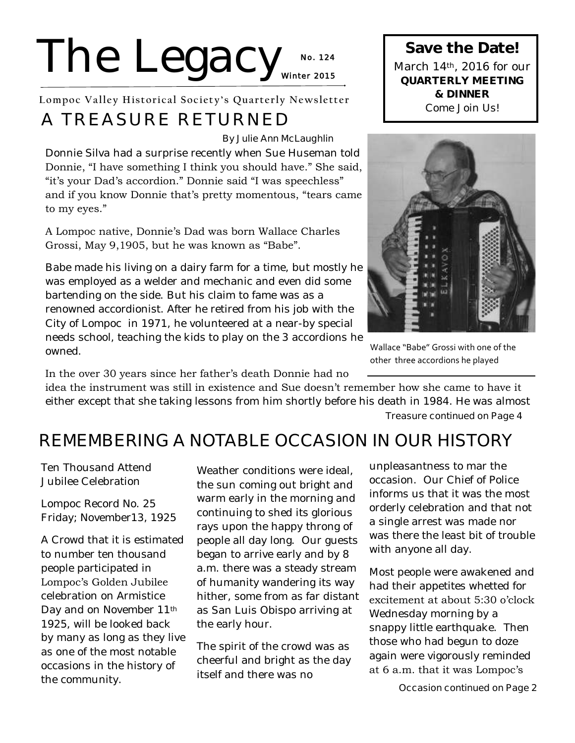# The Legacy<sub>Winter 2015</sub> **No. 1 24**

**Lompoc Valley Historical Society's Quarterly Newsletter**

## **A TREASURE RETURNED**

#### **By Julie Ann McLaughlin**

Donnie Silva had a surprise recently when Sue Huseman told Donnie, "I have something I think you should have." She said, "it's your Dad's accordion." Donnie said "I was speechless" and if you know Donnie that's pretty momentous, "tears came to my eyes."

#### A Lompoc native, Donnie's Dad was born Wallace Charles Grossi, May 9,1905, but he was known as "Babe".

Babe made his living on a dairy farm for a time, but mostly he was employed as a welder and mechanic and even did some bartending on the side. But his claim to fame was as a renowned accordionist. After he retired from his job with the City of Lompoc in 1971, he volunteered at a near-by special needs school, teaching the kids to play on the 3 accordions he owned.

In the over 30 years since her father's death Donnie had no idea the instrument was still in existence and Sue doesn't remember how she came to have it either except that she taking lessons from him shortly before his death in 1984. He was almost

**Treasure continued on Page 4**

Wallace "Babe" Grossi with one of the other three accordions he played

## **REMEMBERING A NOTABLE OCCASION IN OUR HISTORY**

Ten Thousand Attend Jubilee Celebration

Lompoc Record No. 25 Friday; November13, 1925

A Crowd that it is estimated to number ten thousand people participated in Lompoc's Golden Jubilee celebration on Armistice Day and on November 11th 1925, will be looked back by many as long as they live as one of the most notable occasions in the history of the community.

Weather conditions were ideal. the sun coming out bright and warm early in the morning and continuing to shed its glorious rays upon the happy throng of people all day long. Our guests began to arrive early and by 8 a.m. there was a steady stream of humanity wandering its way hither, some from as far distant as San Luis Obispo arriving at the early hour.

The spirit of the crowd was as cheerful and bright as the day itself and there was no

unpleasantness to mar the occasion. Our Chief of Police informs us that it was the most orderly celebration and that not a single arrest was made nor was there the least bit of trouble with anyone all day.

Most people were awakened and had their appetites whetted for excitement at about 5:30 o'clock Wednesday morning by a snappy little earthquake. Then those who had begun to doze again were vigorously reminded at 6 a.m. that it was Lompoc's

**Save the Date!**  March 14th, 2016 for our **QUARTERLY MEETING & DINNER**  Come Join Us!

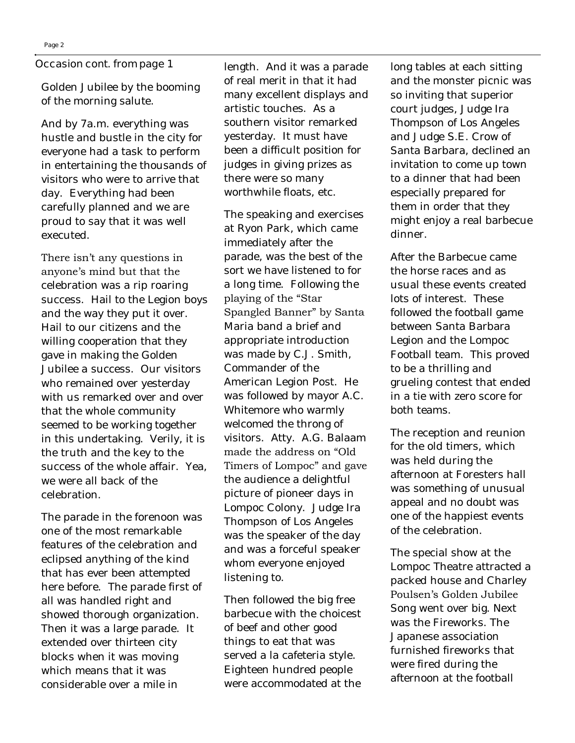#### **Occasion cont. from page 1**

Golden Jubilee by the booming of the morning salute.

And by 7a.m. everything was hustle and bustle in the city for everyone had a task to perform in entertaining the thousands of visitors who were to arrive that day. Everything had been carefully planned and we are proud to say that it was well executed.

There isn't any questions in anyone's mind but that the

celebration was a rip roaring success. Hail to the Legion boys and the way they put it over. Hail to our citizens and the willing cooperation that they gave in making the Golden Jubilee a success. Our visitors who remained over yesterday with us remarked over and over that the whole community seemed to be working together in this undertaking. Verily, it is the truth and the key to the success of the whole affair. Yea, we were all back of the celebration.

The parade in the forenoon was one of the most remarkable features of the celebration and eclipsed anything of the kind that has ever been attempted here before. The parade first of all was handled right and showed thorough organization. Then it was a large parade. It extended over thirteen city blocks when it was moving which means that it was considerable over a mile in

length. And it was a parade of real merit in that it had many excellent displays and artistic touches. As a southern visitor remarked yesterday. It must have been a difficult position for judges in giving prizes as there were so many worthwhile floats, etc.

The speaking and exercises at Ryon Park, which came immediately after the parade, was the best of the sort we have listened to for a long time. Following the playing of the "Star Spangled Banner" by Santa Maria band a brief and appropriate introduction was made by C.J. Smith, Commander of the American Legion Post. He was followed by mayor A.C. Whitemore who warmly welcomed the throng of visitors. Atty. A.G. Balaam made the address on "Old Timers of Lompoc" and gave the audience a delightful picture of pioneer days in Lompoc Colony. Judge Ira Thompson of Los Angeles was the speaker of the day and was a forceful speaker whom everyone enjoyed listening to.

Then followed the big free barbecue with the choicest of beef and other good things to eat that was served a la cafeteria style. Eighteen hundred people were accommodated at the

long tables at each sitting and the monster picnic was so inviting that superior court judges, Judge Ira Thompson of Los Angeles and Judge S.E. Crow of Santa Barbara, declined an invitation to come up town to a dinner that had been especially prepared for them in order that they might enjoy a real barbecue dinner.

After the Barbecue came the horse races and as usual these events created lots of interest. These followed the football game between Santa Barbara Legion and the Lompoc Football team. This proved to be a thrilling and grueling contest that ended in a tie with zero score for both teams.

The reception and reunion for the old timers, which was held during the afternoon at Foresters hall was something of unusual appeal and no doubt was one of the happiest events of the celebration.

The special show at the Lompoc Theatre attracted a packed house and Charley Poulsen's Golden Jubilee Song went over big. Next was the Fireworks. The Japanese association furnished fireworks that were fired during the afternoon at the football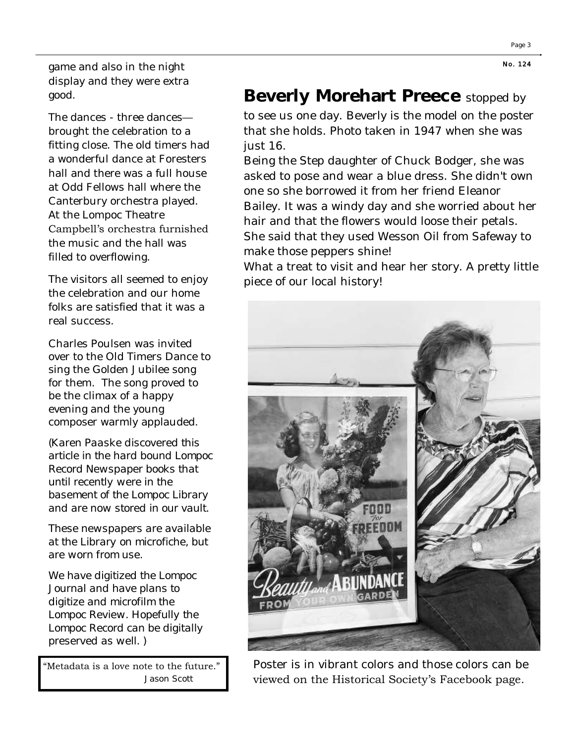game and also in the night display and they were extra good.

The dances - three dances brought the celebration to a fitting close. The old timers had a wonderful dance at Foresters hall and there was a full house at Odd Fellows hall where the Canterbury orchestra played. At the Lompoc Theatre Campbell's orchestra furnished the music and the hall was filled to overflowing.

The visitors all seemed to enjoy the celebration and our home folks are satisfied that it was a real success.

Charles Poulsen was invited over to the Old Timers Dance to sing the Golden Jubilee song for them. The song proved to be the climax of a happy evening and the young composer warmly applauded.

*(Karen Paaske discovered this article in the hard bound Lompoc Record Newspaper books that until recently were in the basement of the Lompoc Library and are now stored in our vault.*

*These newspapers are available at the Library on microfiche, but are worn from use.*

*We have digitized the Lompoc Journal and have plans to digitize and microfilm the Lompoc Review. Hopefully the Lompoc Record can be digitally preserved as well. )*

"Metadata is a love note to the future." Jason Scott

## **Beverly Morehart Preece** stopped by

to see us one day. Beverly is the model on the poster that she holds. Photo taken in 1947 when she was just 16.

Being the Step daughter of Chuck Bodger, she was asked to pose and wear a blue dress. She didn't own one so she borrowed it from her friend Eleanor Bailey. It was a windy day and she worried about her hair and that the flowers would loose their petals. She said that they used Wesson Oil from Safeway to make those peppers shine!

What a treat to visit and hear her story. A pretty little piece of our local history!



Poster is in vibrant colors and those colors can be viewed on the Historical Society's Facebook page.

**N o. 124**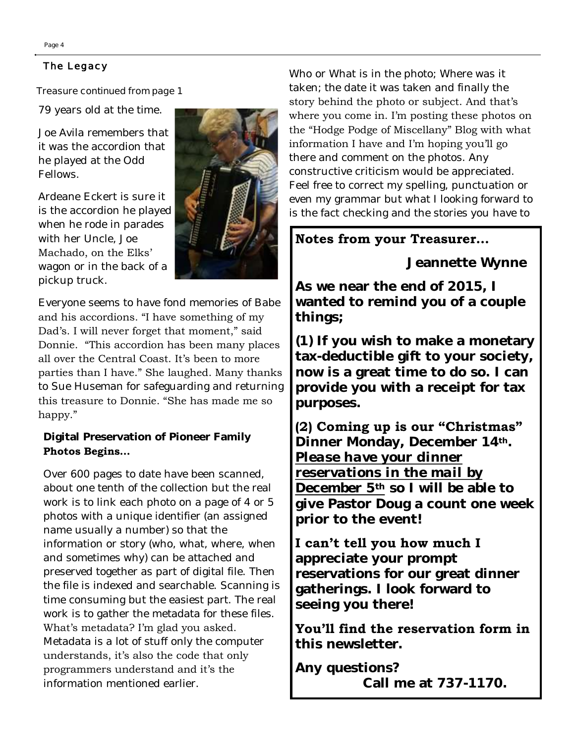#### **The Legacy**

#### **Treasure continued from page 1**

79 years old at the time.

Joe Avila remembers that it was the accordion that he played at the Odd Fellows.

Ardeane Eckert is sure it is the accordion he played when he rode in parades with her Uncle, Joe Machado, on the Elks' wagon or in the back of a pickup truck.



Everyone seems to have fond memories of Babe and his accordions. "I have something of my Dad's. I will never forget that moment," said Donnie. "This accordion has been many places all over the Central Coast. It's been to more parties than I have." She laughed. Many thanks to Sue Huseman for safeguarding and returning this treasure to Donnie. "She has made me so happy."

**Digital Preservation of Pioneer Family Photos Begins…**

Over 600 pages to date have been scanned, about one tenth of the collection but the real work is to link each photo on a page of 4 or 5 photos with a unique identifier (an assigned name usually a number) so that the information or story (who, what, where, when and sometimes why) can be attached and preserved together as part of digital file. Then the file is indexed and searchable. Scanning is time consuming but the easiest part. The real work is to gather the metadata for these files. What's metadata? I'm glad you asked. Metadata is a lot of stuff only the computer understands, it's also the code that only programmers understand and it's the information mentioned earlier.

Who or What is in the photo; Where was it taken; the date it was taken and finally the story behind the photo or subject. And that's where you come in. I'm posting these photos on the "Hodge Podge of Miscellany" Blog with what information I have and I'm hoping you'll go there and comment on the photos. Any constructive criticism would be appreciated. Feel free to correct my spelling, punctuation or even my grammar but what I looking forward to is the fact checking and the stories you have to

## **Notes from your Treasurer…**

 **Jeannette Wynne**

**As we near the end of 2015, I wanted to remind you of a couple things;**

**(1) If you wish to make a monetary tax-deductible gift to your society, now is a great time to do so. I can provide you with a receipt for tax purposes.**

**(2) Coming up is our "Christmas"** 

**Dinner Monday, December 14th.**  *Please have your dinner reservations in the mail by December 5th* **so I will be able to give Pastor Doug a count one week prior to the event!**

### **I can't tell you how much I**

**appreciate your prompt reservations for our great dinner gatherings. I look forward to seeing you there!**

**You'll find the reservation form in this newsletter.** 

**Any questions? Call me at 737-1170.**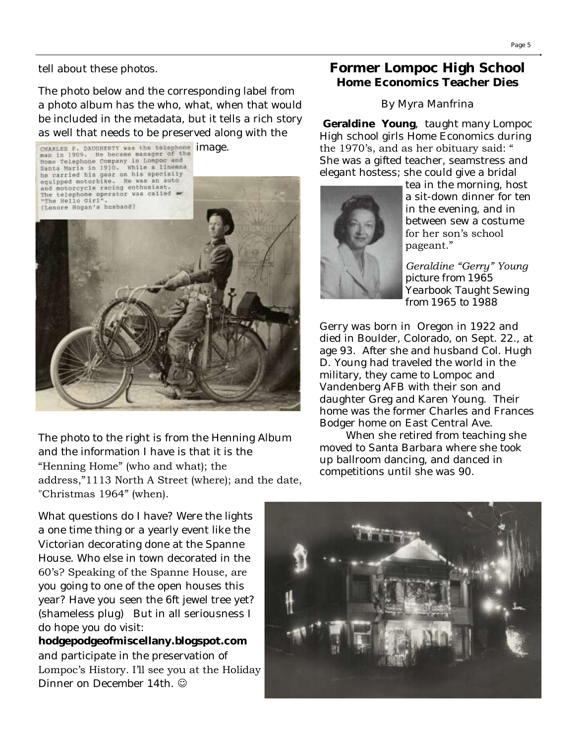The photo below and the corresponding label from a photo album has the who, what, when that would be included in the metadata, but it tells a rich story as well that needs to be preserved along with the



The photo to the right is from the Henning Album and the information I have is that it is the "Henning Home" (who and what); the address,"1113 North A Street (where); and the date, "Christmas 1964" (when).

What questions do I have? Were the lights a one time thing or a yearly event like the Victorian decorating done at the Spanne House. Who else in town decorated in the 60's? Speaking of the Spanne House, are you going to one of the open houses this year? Have you seen the 6ft jewel tree yet? (shameless plug) But in all seriousness I do hope you do visit:

**hodgepodgeofmiscellany.blogspot.com**  and participate in the preservation of Lompoc's History. I'll see you at the Holiday Dinner on December 14th.  $\odot$ 

## **Former Lompoc High School Home Economics Teacher Dies**

### By Myra Manfrina

**Geraldine Young**, taught many Lompoc High school girls Home Economics during the 1970's, and as her obituary said: " She was a gifted teacher, seamstress and elegant hostess; she could give a bridal



tea in the morning, host a sit-down dinner for ten in the evening, and in between sew a costume for her son's school pageant."

*Geraldine "Gerry" Young picture from 1965 Yearbook Taught Sewing from 1965 to 1988*

Gerry was born in Oregon in 1922 and died in Boulder, Colorado, on Sept. 22., at age 93. After she and husband Col. Hugh D. Young had traveled the world in the military, they came to Lompoc and Vandenberg AFB with their son and daughter Greg and Karen Young. Their home was the former Charles and Frances Bodger home on East Central Ave.

 When she retired from teaching she moved to Santa Barbara where she took up ballroom dancing, and danced in competitions until she was 90.

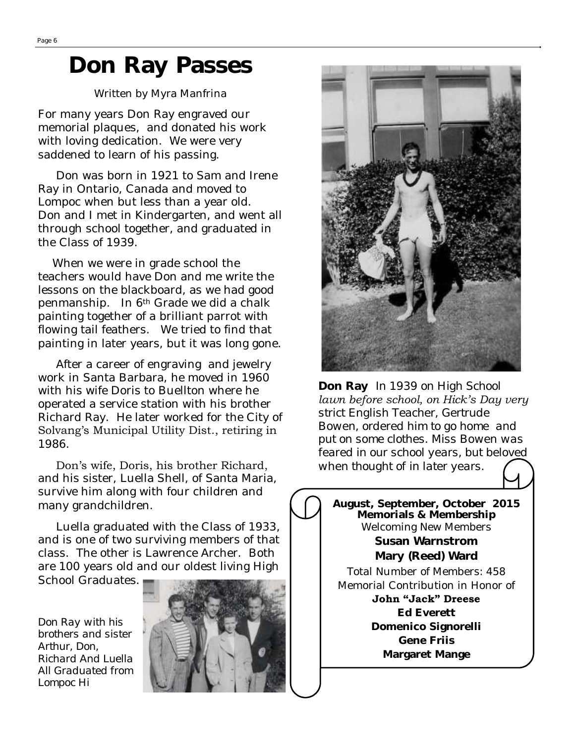## **Don Ray Passes**

#### Written by Myra Manfrina

For many years Don Ray engraved our memorial plaques, and donated his work with loving dedication. We were very saddened to learn of his passing.

 Don was born in 1921 to Sam and Irene Ray in Ontario, Canada and moved to Lompoc when but less than a year old. Don and I met in Kindergarten, and went all through school together, and graduated in the Class of 1939.

 When we were in grade school the teachers would have Don and me write the lessons on the blackboard, as we had good penmanship. In 6th Grade we did a chalk painting together of a brilliant parrot with flowing tail feathers. We tried to find that painting in later years, but it was long gone.

 After a career of engraving and jewelry work in Santa Barbara, he moved in 1960 with his wife Doris to Buellton where he operated a service station with his brother Richard Ray. He later worked for the City of Solvang's Municipal Utility Dist., retiring in 1986.

 Don's wife, Doris, his brother Richard, and his sister, Luella Shell, of Santa Maria, survive him along with four children and many grandchildren.

 Luella graduated with the Class of 1933, and is one of two surviving members of that class. The other is Lawrence Archer. Both are 100 years old and our oldest living High

School Graduates.

*Don Ray with his brothers and sister Arthur, Don, Richard And Luella All Graduated from Lompoc Hi* 





**Don Ray** *In 1939 on High School lawn before school, on Hick's Day very strict English Teacher, Gertrude Bowen, ordered him to go home and put on some clothes. Miss Bowen was feared in our school years, but beloved when thought of in later years.*

**August, September, October 2015 Memorials & Membership** Welcoming New Members **Susan Warnstrom Mary (Reed) Ward** Total Number of Members: 458 Memorial Contribution in Honor of **John "Jack" Dreese Ed Everett Domenico Signorelli Gene Friis Margaret Mange**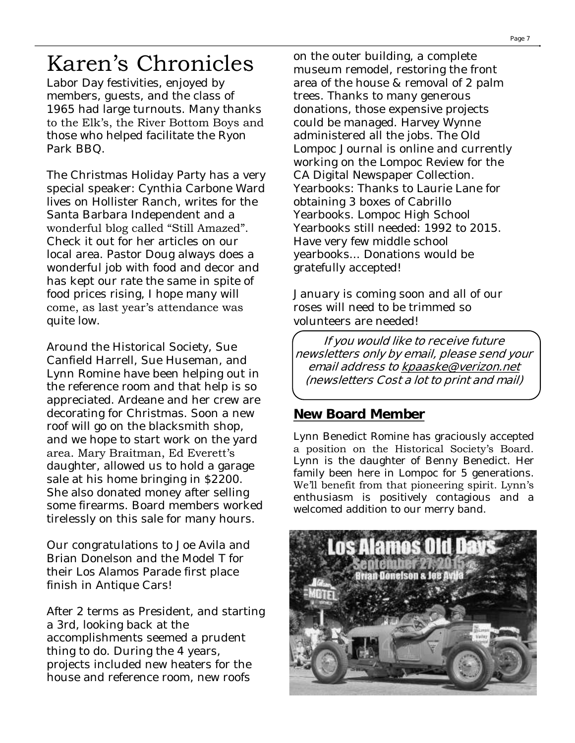# Karen's Chronicles

Labor Day festivities, enjoyed by members, guests, and the class of 1965 had large turnouts. Many thanks to the Elk's, the River Bottom Boys and those who helped facilitate the Ryon Park BBQ.

The Christmas Holiday Party has a very special speaker: Cynthia Carbone Ward lives on Hollister Ranch, writes for the Santa Barbara Independent and a wonderful blog called "Still Amazed". Check it out for her articles on our local area. Pastor Doug always does a wonderful job with food and decor and has kept our rate the same in spite of food prices rising, I hope many will come, as last year's attendance was quite low.

Around the Historical Society, Sue Canfield Harrell, Sue Huseman, and Lynn Romine have been helping out in the reference room and that help is so appreciated. Ardeane and her crew are decorating for Christmas. Soon a new roof will go on the blacksmith shop, and we hope to start work on the yard area. Mary Braitman, Ed Everett's daughter, allowed us to hold a garage sale at his home bringing in \$2200. She also donated money after selling some firearms. Board members worked tirelessly on this sale for many hours.

Our congratulations to Joe Avila and Brian Donelson and the Model T for their Los Alamos Parade first place finish in Antique Cars!

After 2 terms as President, and starting a 3rd, looking back at the accomplishments seemed a prudent thing to do. During the 4 years, projects included new heaters for the house and reference room, new roofs

on the outer building, a complete museum remodel, restoring the front area of the house & removal of 2 palm trees. Thanks to many generous donations, those expensive projects could be managed. Harvey Wynne administered all the jobs. The Old Lompoc Journal is online and currently working on the Lompoc Review for the CA Digital Newspaper Collection. Yearbooks: Thanks to Laurie Lane for obtaining 3 boxes of Cabrillo Yearbooks. Lompoc High School Yearbooks still needed: 1992 to 2015. Have very few middle school yearbooks... Donations would be gratefully accepted!

January is coming soon and all of our roses will need to be trimmed so volunteers are needed!

**If you would like to receive future newsletters only by email, please send your email address to [kpaaske@verizon.net](mailto:kpaaske@verizon.net)  (newsletters Cost a lot to print and mail)**

### **New Board Member**

Lynn Benedict Romine has graciously accepted a position on the Historical Society's Board. Lynn is the daughter of Benny Benedict. Her family been here in Lompoc for 5 generations. We'll benefit from that pioneering spirit. Lynn's enthusiasm is positively contagious and a welcomed addition to our merry band.